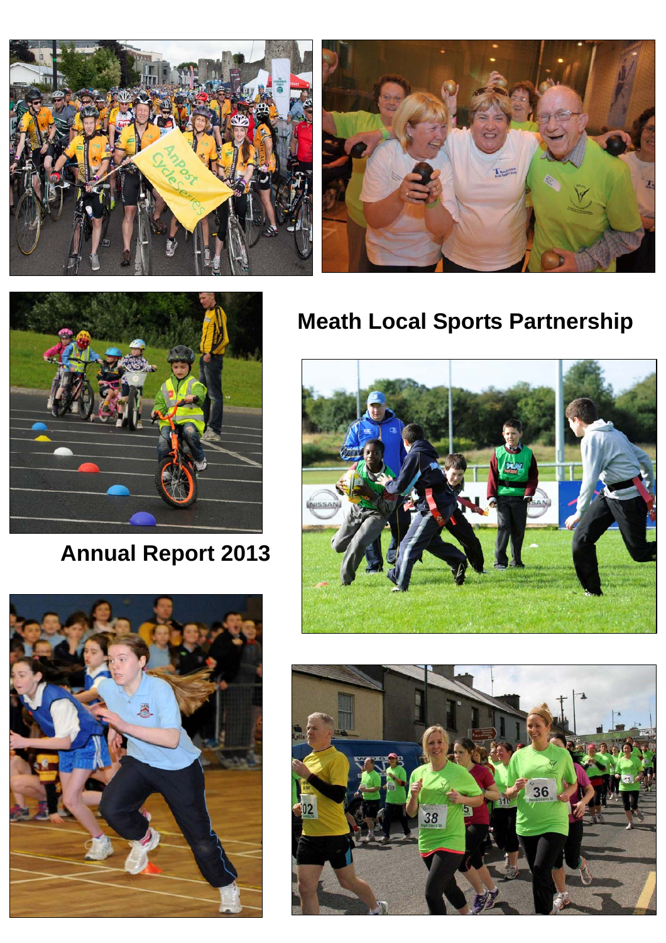





**Annual Report 2013** 



# **Meath Local Sports Partnership**



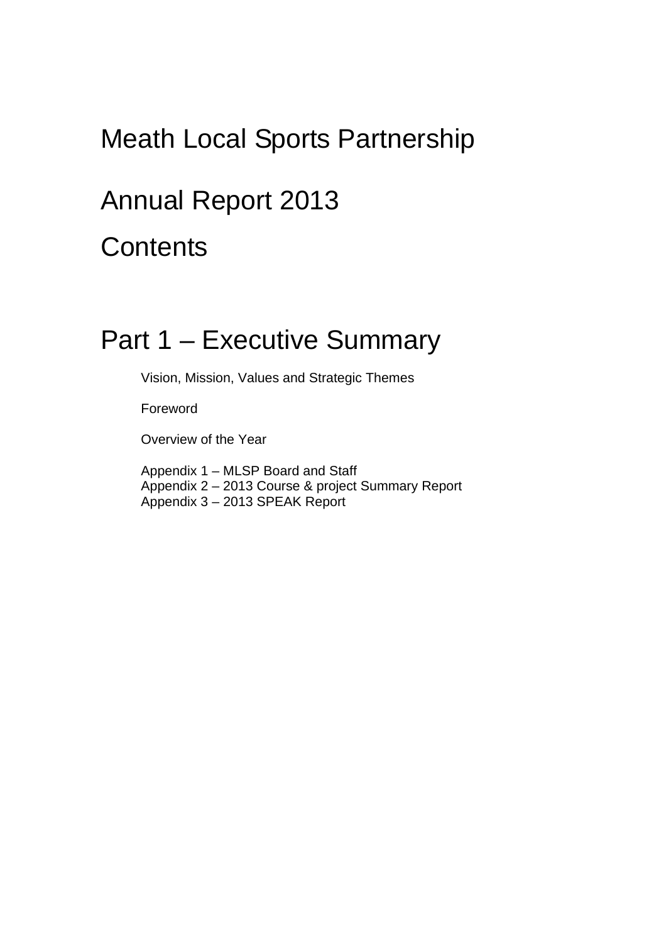# Meath Local Sports Partnership

# Annual Report 2013

**Contents** 

# Part 1 – Executive Summary

Vision, Mission, Values and Strategic Themes

Foreword

Overview of the Year

Appendix 1 – MLSP Board and Staff Appendix 2 – 2013 Course & project Summary Report Appendix 3 – 2013 SPEAK Report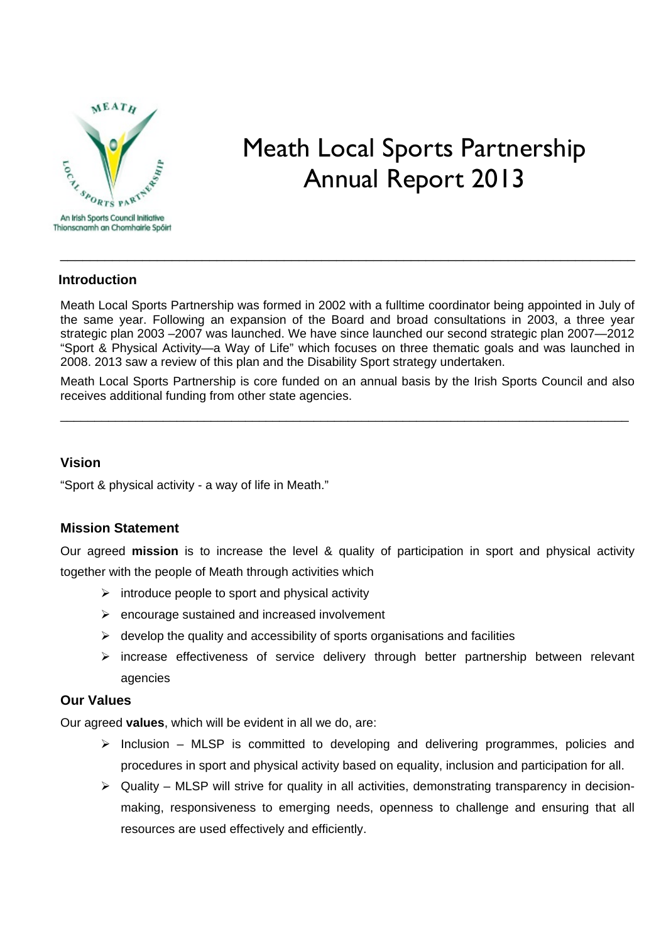

# Meath Local Sports Partnership Annual Report 2013

### **Introduction**

Meath Local Sports Partnership was formed in 2002 with a fulltime coordinator being appointed in July of the same year. Following an expansion of the Board and broad consultations in 2003, a three year strategic plan 2003 –2007 was launched. We have since launched our second strategic plan 2007—2012 "Sport & Physical Activity—a Way of Life" which focuses on three thematic goals and was launched in 2008. 2013 saw a review of this plan and the Disability Sport strategy undertaken.

\_\_\_\_\_\_\_\_\_\_\_\_\_\_\_\_\_\_\_\_\_\_\_\_\_\_\_\_\_\_\_\_\_\_\_\_\_\_\_\_\_\_\_\_\_\_\_\_\_\_\_\_\_\_\_\_\_\_\_\_\_\_\_\_\_\_\_\_\_\_\_\_\_\_\_\_\_

Meath Local Sports Partnership is core funded on an annual basis by the Irish Sports Council and also receives additional funding from other state agencies.

\_\_\_\_\_\_\_\_\_\_\_\_\_\_\_\_\_\_\_\_\_\_\_\_\_\_\_\_\_\_\_\_\_\_\_\_\_\_\_\_\_\_\_\_\_\_\_\_\_\_\_\_\_\_\_\_\_\_\_\_\_\_\_\_\_\_\_\_\_\_\_\_\_\_\_\_\_\_\_\_\_\_\_

### **Vision**

"Sport & physical activity - a way of life in Meath."

### **Mission Statement**

Our agreed **mission** is to increase the level & quality of participation in sport and physical activity together with the people of Meath through activities which

- $\triangleright$  introduce people to sport and physical activity
- $\triangleright$  encourage sustained and increased involvement
- $\triangleright$  develop the quality and accessibility of sports organisations and facilities
- $\triangleright$  increase effectiveness of service delivery through better partnership between relevant agencies

### **Our Values**

Our agreed **values**, which will be evident in all we do, are:

- $\triangleright$  Inclusion MLSP is committed to developing and delivering programmes, policies and procedures in sport and physical activity based on equality, inclusion and participation for all.
- $\triangleright$  Quality MLSP will strive for quality in all activities, demonstrating transparency in decisionmaking, responsiveness to emerging needs, openness to challenge and ensuring that all resources are used effectively and efficiently.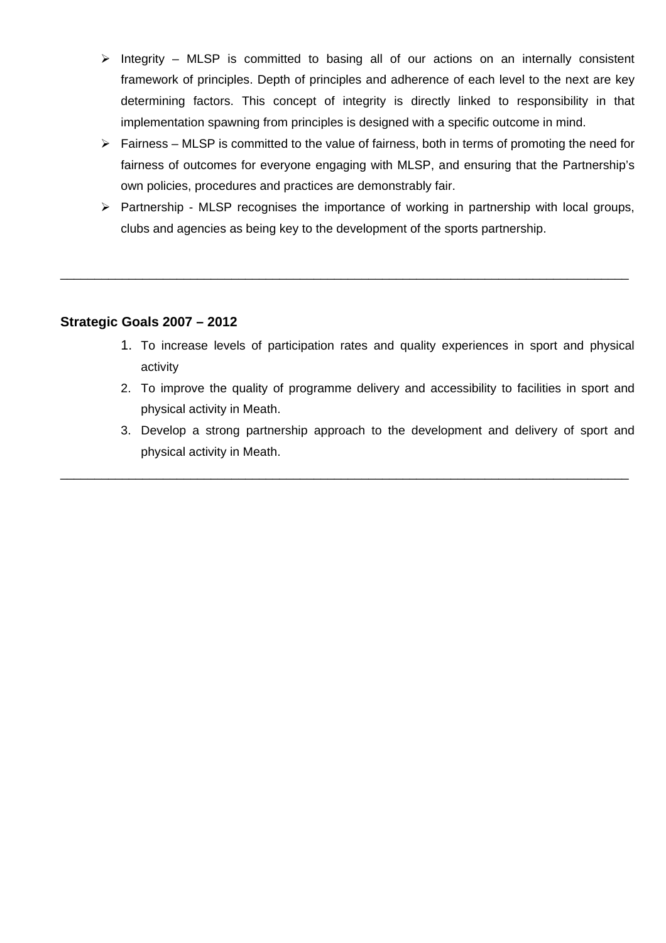- $\triangleright$  Integrity MLSP is committed to basing all of our actions on an internally consistent framework of principles. Depth of principles and adherence of each level to the next are key determining factors. This concept of integrity is directly linked to responsibility in that implementation spawning from principles is designed with a specific outcome in mind.
- $\triangleright$  Fairness MLSP is committed to the value of fairness, both in terms of promoting the need for fairness of outcomes for everyone engaging with MLSP, and ensuring that the Partnership's own policies, procedures and practices are demonstrably fair.
- $\triangleright$  Partnership MLSP recognises the importance of working in partnership with local groups, clubs and agencies as being key to the development of the sports partnership.

\_\_\_\_\_\_\_\_\_\_\_\_\_\_\_\_\_\_\_\_\_\_\_\_\_\_\_\_\_\_\_\_\_\_\_\_\_\_\_\_\_\_\_\_\_\_\_\_\_\_\_\_\_\_\_\_\_\_\_\_\_\_\_\_\_\_\_\_\_\_\_\_\_\_\_\_\_\_\_\_\_\_\_

### **Strategic Goals 2007 – 2012**

- 1. To increase levels of participation rates and quality experiences in sport and physical activity
- 2. To improve the quality of programme delivery and accessibility to facilities in sport and physical activity in Meath.
- 3. Develop a strong partnership approach to the development and delivery of sport and physical activity in Meath.

\_\_\_\_\_\_\_\_\_\_\_\_\_\_\_\_\_\_\_\_\_\_\_\_\_\_\_\_\_\_\_\_\_\_\_\_\_\_\_\_\_\_\_\_\_\_\_\_\_\_\_\_\_\_\_\_\_\_\_\_\_\_\_\_\_\_\_\_\_\_\_\_\_\_\_\_\_\_\_\_\_\_\_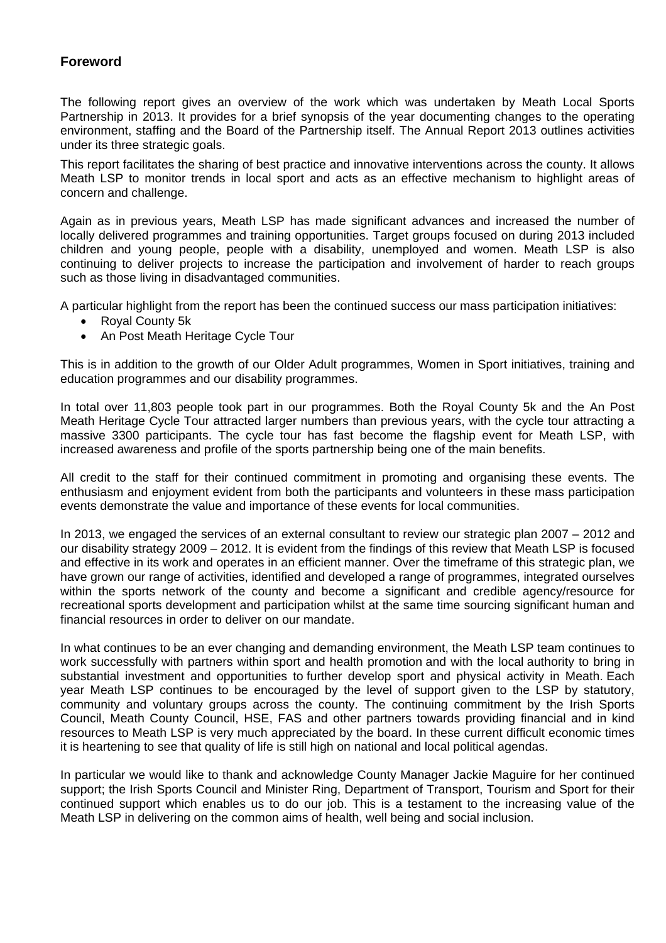### **Foreword**

The following report gives an overview of the work which was undertaken by Meath Local Sports Partnership in 2013. It provides for a brief synopsis of the year documenting changes to the operating environment, staffing and the Board of the Partnership itself. The Annual Report 2013 outlines activities under its three strategic goals.

This report facilitates the sharing of best practice and innovative interventions across the county. It allows Meath LSP to monitor trends in local sport and acts as an effective mechanism to highlight areas of concern and challenge.

Again as in previous years, Meath LSP has made significant advances and increased the number of locally delivered programmes and training opportunities. Target groups focused on during 2013 included children and young people, people with a disability, unemployed and women. Meath LSP is also continuing to deliver projects to increase the participation and involvement of harder to reach groups such as those living in disadvantaged communities.

A particular highlight from the report has been the continued success our mass participation initiatives:

- Royal County 5k
- An Post Meath Heritage Cycle Tour

This is in addition to the growth of our Older Adult programmes, Women in Sport initiatives, training and education programmes and our disability programmes.

In total over 11,803 people took part in our programmes. Both the Royal County 5k and the An Post Meath Heritage Cycle Tour attracted larger numbers than previous years, with the cycle tour attracting a massive 3300 participants. The cycle tour has fast become the flagship event for Meath LSP, with increased awareness and profile of the sports partnership being one of the main benefits.

All credit to the staff for their continued commitment in promoting and organising these events. The enthusiasm and enjoyment evident from both the participants and volunteers in these mass participation events demonstrate the value and importance of these events for local communities.

In 2013, we engaged the services of an external consultant to review our strategic plan 2007 – 2012 and our disability strategy 2009 – 2012. It is evident from the findings of this review that Meath LSP is focused and effective in its work and operates in an efficient manner. Over the timeframe of this strategic plan, we have grown our range of activities, identified and developed a range of programmes, integrated ourselves within the sports network of the county and become a significant and credible agency/resource for recreational sports development and participation whilst at the same time sourcing significant human and financial resources in order to deliver on our mandate.

In what continues to be an ever changing and demanding environment, the Meath LSP team continues to work successfully with partners within sport and health promotion and with the local authority to bring in substantial investment and opportunities to further develop sport and physical activity in Meath. Each year Meath LSP continues to be encouraged by the level of support given to the LSP by statutory, community and voluntary groups across the county. The continuing commitment by the Irish Sports Council, Meath County Council, HSE, FAS and other partners towards providing financial and in kind resources to Meath LSP is very much appreciated by the board. In these current difficult economic times it is heartening to see that quality of life is still high on national and local political agendas.

In particular we would like to thank and acknowledge County Manager Jackie Maguire for her continued support; the Irish Sports Council and Minister Ring, Department of Transport, Tourism and Sport for their continued support which enables us to do our job. This is a testament to the increasing value of the Meath LSP in delivering on the common aims of health, well being and social inclusion.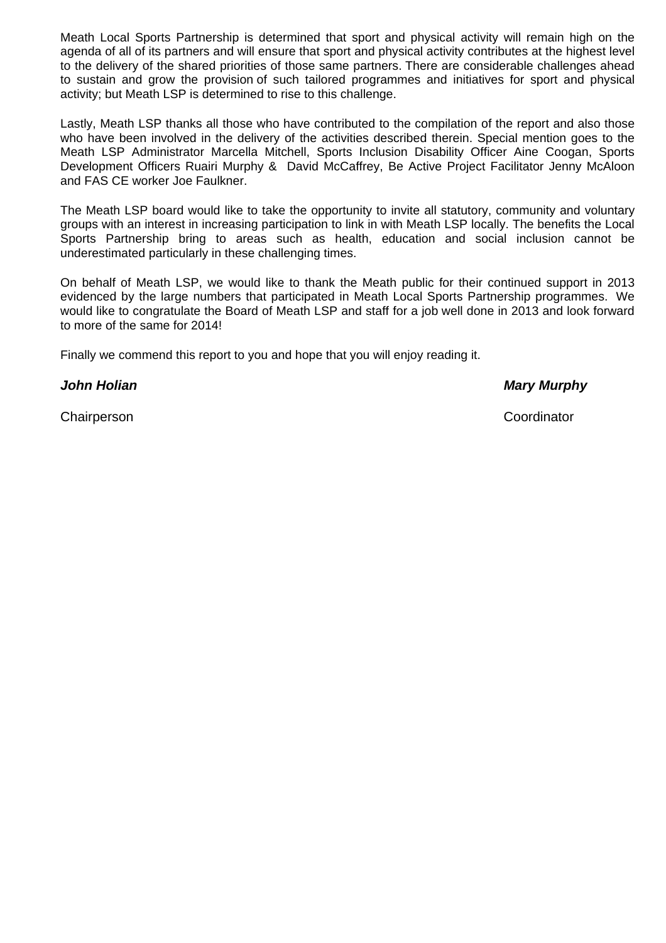Meath Local Sports Partnership is determined that sport and physical activity will remain high on the agenda of all of its partners and will ensure that sport and physical activity contributes at the highest level to the delivery of the shared priorities of those same partners. There are considerable challenges ahead to sustain and grow the provision of such tailored programmes and initiatives for sport and physical activity; but Meath LSP is determined to rise to this challenge.

Lastly, Meath LSP thanks all those who have contributed to the compilation of the report and also those who have been involved in the delivery of the activities described therein. Special mention goes to the Meath LSP Administrator Marcella Mitchell, Sports Inclusion Disability Officer Aine Coogan, Sports Development Officers Ruairi Murphy & David McCaffrey, Be Active Project Facilitator Jenny McAloon and FAS CE worker Joe Faulkner.

The Meath LSP board would like to take the opportunity to invite all statutory, community and voluntary groups with an interest in increasing participation to link in with Meath LSP locally. The benefits the Local Sports Partnership bring to areas such as health, education and social inclusion cannot be underestimated particularly in these challenging times.

On behalf of Meath LSP, we would like to thank the Meath public for their continued support in 2013 evidenced by the large numbers that participated in Meath Local Sports Partnership programmes. We would like to congratulate the Board of Meath LSP and staff for a job well done in 2013 and look forward to more of the same for 2014!

Finally we commend this report to you and hope that you will enjoy reading it.

*John Holian Mary Murphy* 

Chairperson Coordinator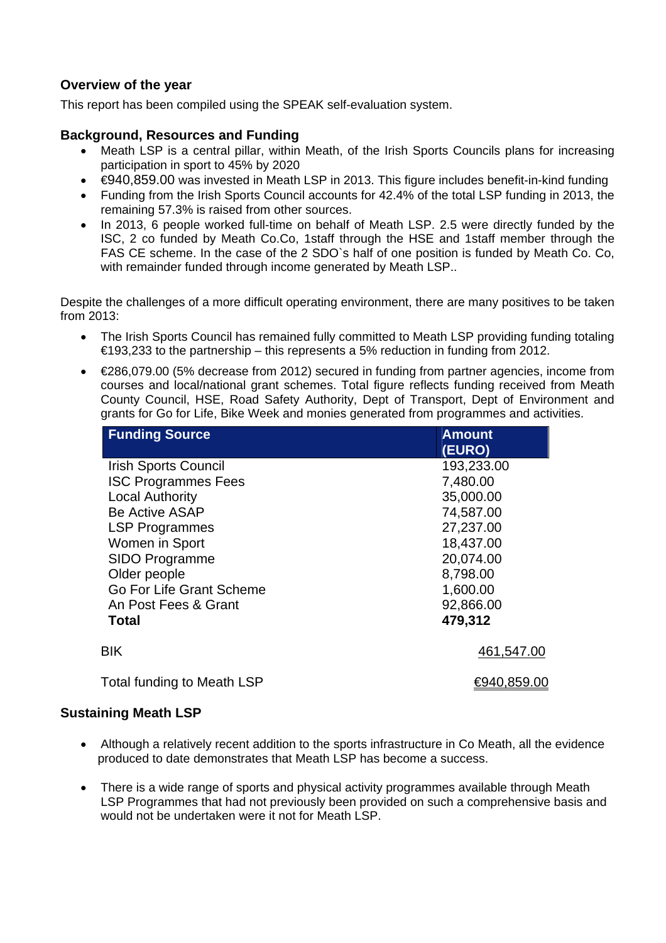### **Overview of the year**

This report has been compiled using the SPEAK self-evaluation system.

### **Background, Resources and Funding**

- Meath LSP is a central pillar, within Meath, of the Irish Sports Councils plans for increasing participation in sport to 45% by 2020
- €940,859.00 was invested in Meath LSP in 2013. This figure includes benefit-in-kind funding
- Funding from the Irish Sports Council accounts for 42.4% of the total LSP funding in 2013, the remaining 57.3% is raised from other sources.
- In 2013, 6 people worked full-time on behalf of Meath LSP. 2.5 were directly funded by the ISC, 2 co funded by Meath Co.Co, 1staff through the HSE and 1staff member through the FAS CE scheme. In the case of the 2 SDO`s half of one position is funded by Meath Co. Co, with remainder funded through income generated by Meath LSP..

Despite the challenges of a more difficult operating environment, there are many positives to be taken from 2013:

- The Irish Sports Council has remained fully committed to Meath LSP providing funding totaling €193,233 to the partnership – this represents a 5% reduction in funding from 2012.
- €286,079.00 (5% decrease from 2012) secured in funding from partner agencies, income from courses and local/national grant schemes. Total figure reflects funding received from Meath County Council, HSE, Road Safety Authority, Dept of Transport, Dept of Environment and grants for Go for Life, Bike Week and monies generated from programmes and activities.

| <b>Funding Source</b>       | <b>Amount</b><br>(EURO) |
|-----------------------------|-------------------------|
| <b>Irish Sports Council</b> | 193,233.00              |
| <b>ISC Programmes Fees</b>  | 7,480.00                |
| <b>Local Authority</b>      | 35,000.00               |
| <b>Be Active ASAP</b>       | 74,587.00               |
| <b>LSP Programmes</b>       | 27,237.00               |
| Women in Sport              | 18,437.00               |
| <b>SIDO Programme</b>       | 20,074.00               |
| Older people                | 8,798.00                |
| Go For Life Grant Scheme    | 1,600.00                |
| An Post Fees & Grant        | 92,866.00               |
| <b>Total</b>                | 479,312                 |
| BIK                         | 461,547.00              |
| Total funding to Meath LSP  | €940,859.00             |

### **Sustaining Meath LSP**

- Although a relatively recent addition to the sports infrastructure in Co Meath, all the evidence produced to date demonstrates that Meath LSP has become a success.
- There is a wide range of sports and physical activity programmes available through Meath LSP Programmes that had not previously been provided on such a comprehensive basis and would not be undertaken were it not for Meath LSP.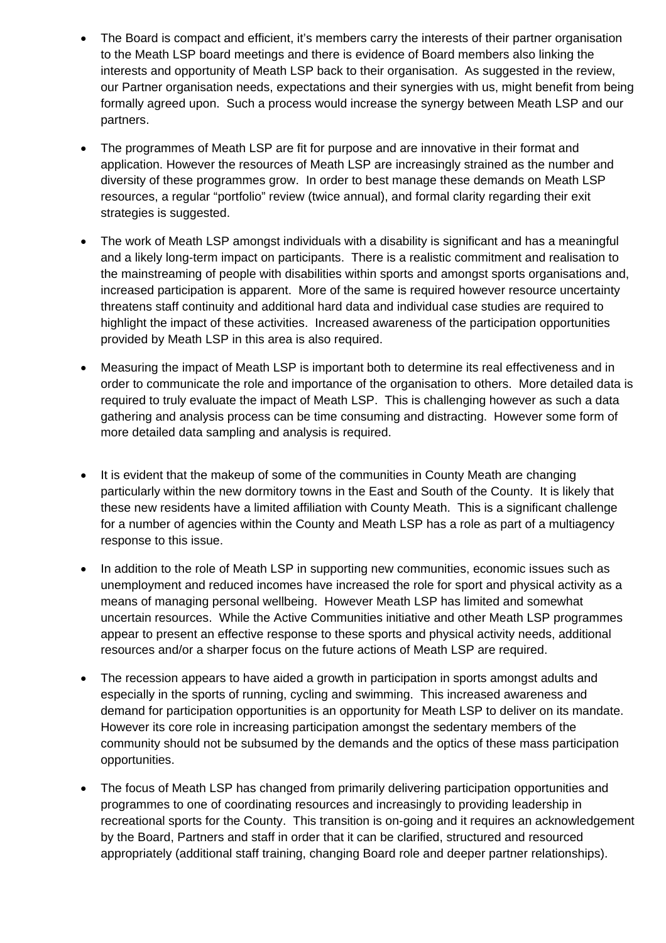- The Board is compact and efficient, it's members carry the interests of their partner organisation to the Meath LSP board meetings and there is evidence of Board members also linking the interests and opportunity of Meath LSP back to their organisation. As suggested in the review, our Partner organisation needs, expectations and their synergies with us, might benefit from being formally agreed upon. Such a process would increase the synergy between Meath LSP and our partners.
- The programmes of Meath LSP are fit for purpose and are innovative in their format and application. However the resources of Meath LSP are increasingly strained as the number and diversity of these programmes grow. In order to best manage these demands on Meath LSP resources, a regular "portfolio" review (twice annual), and formal clarity regarding their exit strategies is suggested.
- The work of Meath LSP amongst individuals with a disability is significant and has a meaningful and a likely long-term impact on participants. There is a realistic commitment and realisation to the mainstreaming of people with disabilities within sports and amongst sports organisations and, increased participation is apparent. More of the same is required however resource uncertainty threatens staff continuity and additional hard data and individual case studies are required to highlight the impact of these activities. Increased awareness of the participation opportunities provided by Meath LSP in this area is also required.
- Measuring the impact of Meath LSP is important both to determine its real effectiveness and in order to communicate the role and importance of the organisation to others. More detailed data is required to truly evaluate the impact of Meath LSP. This is challenging however as such a data gathering and analysis process can be time consuming and distracting. However some form of more detailed data sampling and analysis is required.
- It is evident that the makeup of some of the communities in County Meath are changing particularly within the new dormitory towns in the East and South of the County. It is likely that these new residents have a limited affiliation with County Meath. This is a significant challenge for a number of agencies within the County and Meath LSP has a role as part of a multiagency response to this issue.
- In addition to the role of Meath LSP in supporting new communities, economic issues such as unemployment and reduced incomes have increased the role for sport and physical activity as a means of managing personal wellbeing. However Meath LSP has limited and somewhat uncertain resources. While the Active Communities initiative and other Meath LSP programmes appear to present an effective response to these sports and physical activity needs, additional resources and/or a sharper focus on the future actions of Meath LSP are required.
- The recession appears to have aided a growth in participation in sports amongst adults and especially in the sports of running, cycling and swimming. This increased awareness and demand for participation opportunities is an opportunity for Meath LSP to deliver on its mandate. However its core role in increasing participation amongst the sedentary members of the community should not be subsumed by the demands and the optics of these mass participation opportunities.
- The focus of Meath LSP has changed from primarily delivering participation opportunities and programmes to one of coordinating resources and increasingly to providing leadership in recreational sports for the County. This transition is on-going and it requires an acknowledgement by the Board, Partners and staff in order that it can be clarified, structured and resourced appropriately (additional staff training, changing Board role and deeper partner relationships).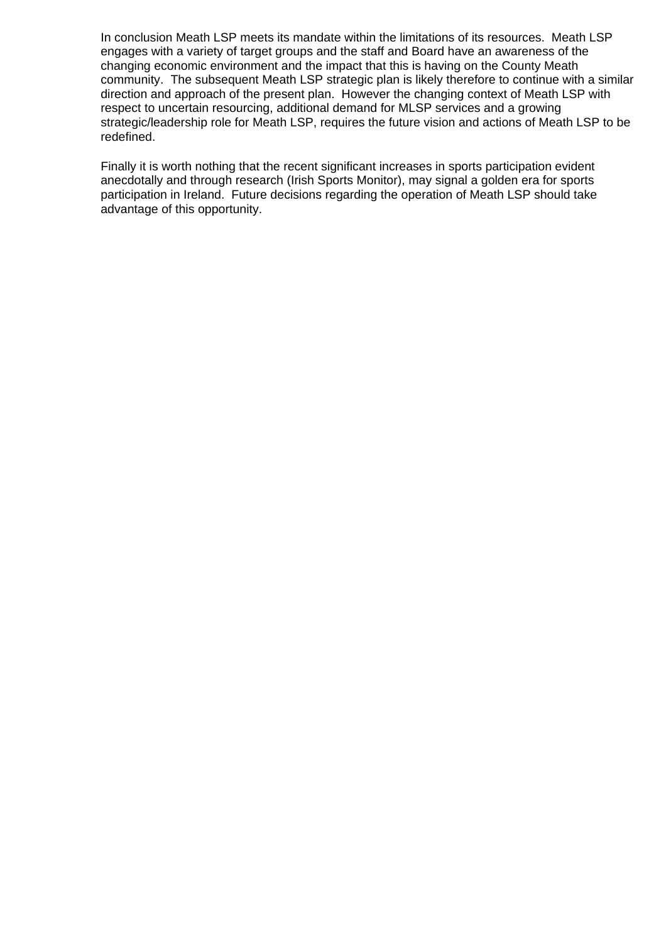In conclusion Meath LSP meets its mandate within the limitations of its resources. Meath LSP engages with a variety of target groups and the staff and Board have an awareness of the changing economic environment and the impact that this is having on the County Meath community. The subsequent Meath LSP strategic plan is likely therefore to continue with a similar direction and approach of the present plan. However the changing context of Meath LSP with respect to uncertain resourcing, additional demand for MLSP services and a growing strategic/leadership role for Meath LSP, requires the future vision and actions of Meath LSP to be redefined.

Finally it is worth nothing that the recent significant increases in sports participation evident anecdotally and through research (Irish Sports Monitor), may signal a golden era for sports participation in Ireland. Future decisions regarding the operation of Meath LSP should take advantage of this opportunity.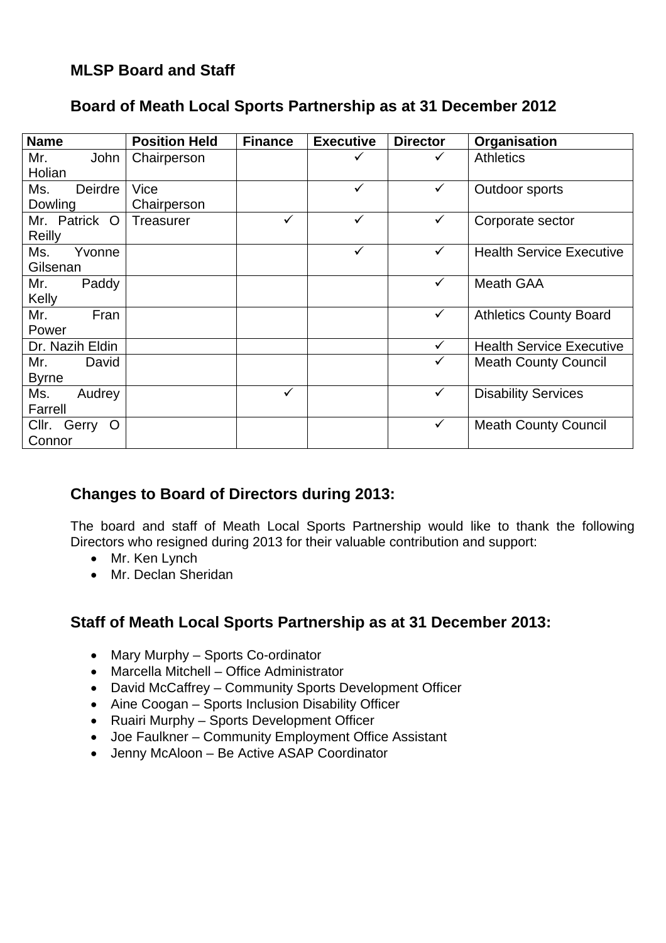### **MLSP Board and Staff**

### **Board of Meath Local Sports Partnership as at 31 December 2012**

| <b>Name</b>                         | <b>Position Held</b> | <b>Finance</b> | <b>Executive</b> | <b>Director</b> | Organisation                    |
|-------------------------------------|----------------------|----------------|------------------|-----------------|---------------------------------|
| Mr.<br>John<br>Holian               | Chairperson          |                |                  | ✓               | <b>Athletics</b>                |
| Deirdre<br>Ms.<br>Dowling           | Vice<br>Chairperson  |                | ✓                | $\checkmark$    | Outdoor sports                  |
| Mr. Patrick O<br>Reilly             | <b>Treasurer</b>     | ✓              | ✓                | ✓               | Corporate sector                |
| Ms.<br>Yvonne<br>Gilsenan           |                      |                | ✓                | $\checkmark$    | <b>Health Service Executive</b> |
| Mr.<br>Paddy<br>Kelly               |                      |                |                  | $\checkmark$    | <b>Meath GAA</b>                |
| Fran<br>Mr.<br>Power                |                      |                |                  | $\checkmark$    | <b>Athletics County Board</b>   |
| Dr. Nazih Eldin                     |                      |                |                  | $\checkmark$    | <b>Health Service Executive</b> |
| Mr.<br>David<br><b>Byrne</b>        |                      |                |                  | ✓               | <b>Meath County Council</b>     |
| Ms.<br>Audrey<br>Farrell            |                      | $\checkmark$   |                  | ✓               | <b>Disability Services</b>      |
| Cllr.<br>Gerry<br>$\circ$<br>Connor |                      |                |                  | $\checkmark$    | <b>Meath County Council</b>     |

### **Changes to Board of Directors during 2013:**

The board and staff of Meath Local Sports Partnership would like to thank the following Directors who resigned during 2013 for their valuable contribution and support:

- Mr. Ken Lynch
- Mr. Declan Sheridan

### **Staff of Meath Local Sports Partnership as at 31 December 2013:**

- Mary Murphy Sports Co-ordinator
- Marcella Mitchell Office Administrator
- David McCaffrey Community Sports Development Officer
- Aine Coogan Sports Inclusion Disability Officer
- Ruairi Murphy Sports Development Officer
- Joe Faulkner Community Employment Office Assistant
- Jenny McAloon Be Active ASAP Coordinator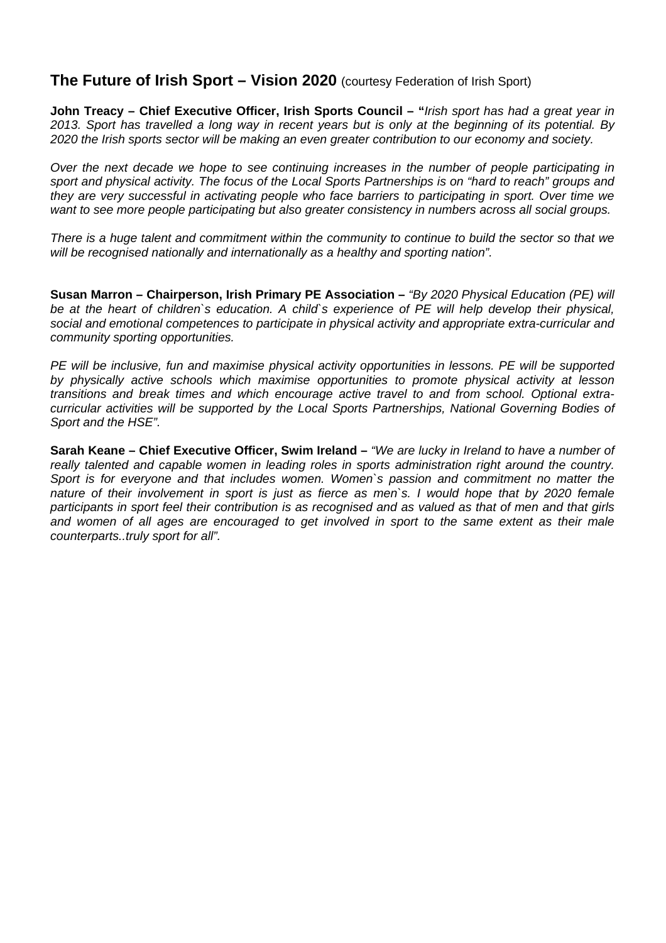### **The Future of Irish Sport – Vision 2020** (courtesy Federation of Irish Sport)

**John Treacy – Chief Executive Officer, Irish Sports Council – "***Irish sport has had a great year in 2013. Sport has travelled a long way in recent years but is only at the beginning of its potential. By 2020 the Irish sports sector will be making an even greater contribution to our economy and society.* 

*Over the next decade we hope to see continuing increases in the number of people participating in sport and physical activity. The focus of the Local Sports Partnerships is on "hard to reach" groups and they are very successful in activating people who face barriers to participating in sport. Over time we want to see more people participating but also greater consistency in numbers across all social groups.* 

*There is a huge talent and commitment within the community to continue to build the sector so that we will be recognised nationally and internationally as a healthy and sporting nation".* 

**Susan Marron – Chairperson, Irish Primary PE Association –** *"By 2020 Physical Education (PE) will be at the heart of children`s education. A child`s experience of PE will help develop their physical, social and emotional competences to participate in physical activity and appropriate extra-curricular and community sporting opportunities.* 

*PE will be inclusive, fun and maximise physical activity opportunities in lessons. PE will be supported by physically active schools which maximise opportunities to promote physical activity at lesson transitions and break times and which encourage active travel to and from school. Optional extracurricular activities will be supported by the Local Sports Partnerships, National Governing Bodies of Sport and the HSE".* 

**Sarah Keane – Chief Executive Officer, Swim Ireland –** *"We are lucky in Ireland to have a number of really talented and capable women in leading roles in sports administration right around the country. Sport is for everyone and that includes women. Women`s passion and commitment no matter the nature of their involvement in sport is just as fierce as men`s. I would hope that by 2020 female participants in sport feel their contribution is as recognised and as valued as that of men and that girls and women of all ages are encouraged to get involved in sport to the same extent as their male counterparts..truly sport for all".*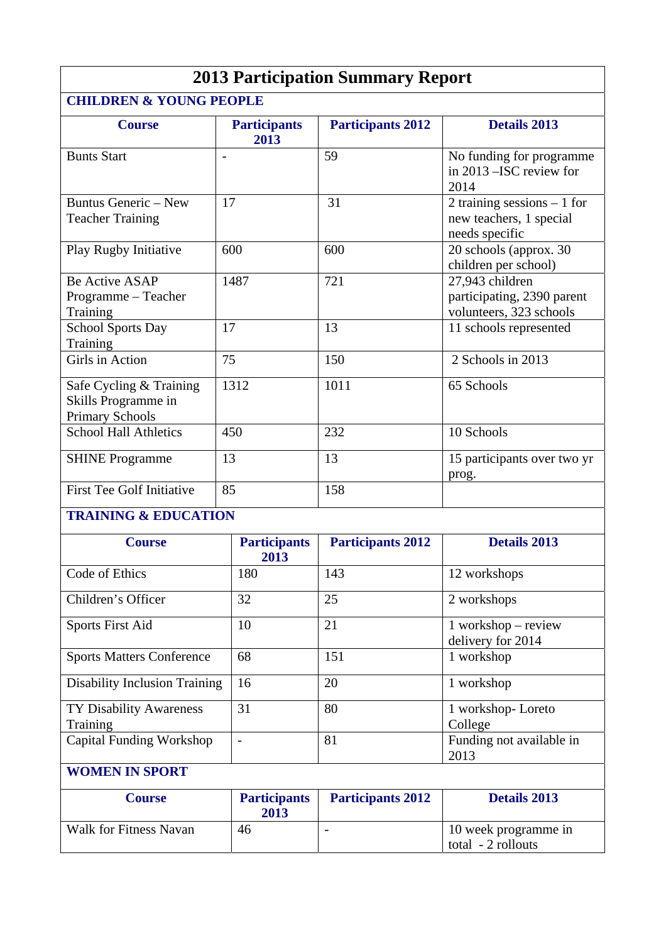| <b>2013 Participation Summary Report</b>                                 |                             |                          |                                                                           |  |
|--------------------------------------------------------------------------|-----------------------------|--------------------------|---------------------------------------------------------------------------|--|
| <b>CHILDREN &amp; YOUNG PEOPLE</b>                                       |                             |                          |                                                                           |  |
| <b>Course</b>                                                            | <b>Participants</b><br>2013 | <b>Participants 2012</b> | <b>Details 2013</b>                                                       |  |
| <b>Bunts Start</b>                                                       | $\overline{\phantom{a}}$    | 59                       | No funding for programme<br>in 2013 - ISC review for<br>2014              |  |
| Buntus Generic - New<br><b>Teacher Training</b>                          | 17                          | 31                       | 2 training sessions $-1$ for<br>new teachers, 1 special<br>needs specific |  |
| Play Rugby Initiative                                                    | 600                         | 600                      | 20 schools (approx. 30<br>children per school)                            |  |
| <b>Be Active ASAP</b><br>Programme - Teacher<br>Training                 | 1487                        | 721                      | 27,943 children<br>participating, 2390 parent<br>volunteers, 323 schools  |  |
| <b>School Sports Day</b><br>Training                                     | 17                          | 13                       | 11 schools represented                                                    |  |
| Girls in Action                                                          | 75                          | 150                      | 2 Schools in 2013                                                         |  |
| Safe Cycling & Training<br>Skills Programme in<br><b>Primary Schools</b> | 1312                        | 1011                     | 65 Schools                                                                |  |
| <b>School Hall Athletics</b>                                             | 450                         | 232                      | 10 Schools                                                                |  |
| <b>SHINE</b> Programme                                                   | 13                          | 13                       | 15 participants over two yr<br>prog.                                      |  |
| <b>First Tee Golf Initiative</b>                                         | 85                          | 158                      |                                                                           |  |
| <b>TRAINING &amp; EDUCATION</b>                                          |                             |                          |                                                                           |  |
| <b>Course</b>                                                            | <b>Participants</b><br>2013 | <b>Participants 2012</b> | <b>Details 2013</b>                                                       |  |
| Code of Ethics                                                           | 180                         | 143                      | 12 workshops                                                              |  |
| Children's Officer                                                       | 32                          | 25                       | 2 workshops                                                               |  |
| <b>Sports First Aid</b>                                                  | 10                          | 21                       | $1$ workshop – review<br>delivery for 2014                                |  |
| <b>Sports Matters Conference</b>                                         | 68                          | 151                      | 1 workshop                                                                |  |
| <b>Disability Inclusion Training</b>                                     | 16                          | 20                       | 1 workshop                                                                |  |
| TY Disability Awareness<br>Training                                      | 31                          | 80                       | 1 workshop-Loreto<br>College                                              |  |
| <b>Capital Funding Workshop</b>                                          | $\overline{a}$              | 81                       | Funding not available in<br>2013                                          |  |
| <b>WOMEN IN SPORT</b>                                                    |                             |                          |                                                                           |  |
| <b>Course</b>                                                            | <b>Participants</b><br>2013 | <b>Participants 2012</b> | <b>Details 2013</b>                                                       |  |
| <b>Walk for Fitness Navan</b>                                            | 46                          | $\overline{\phantom{a}}$ | 10 week programme in<br>total - 2 rollouts                                |  |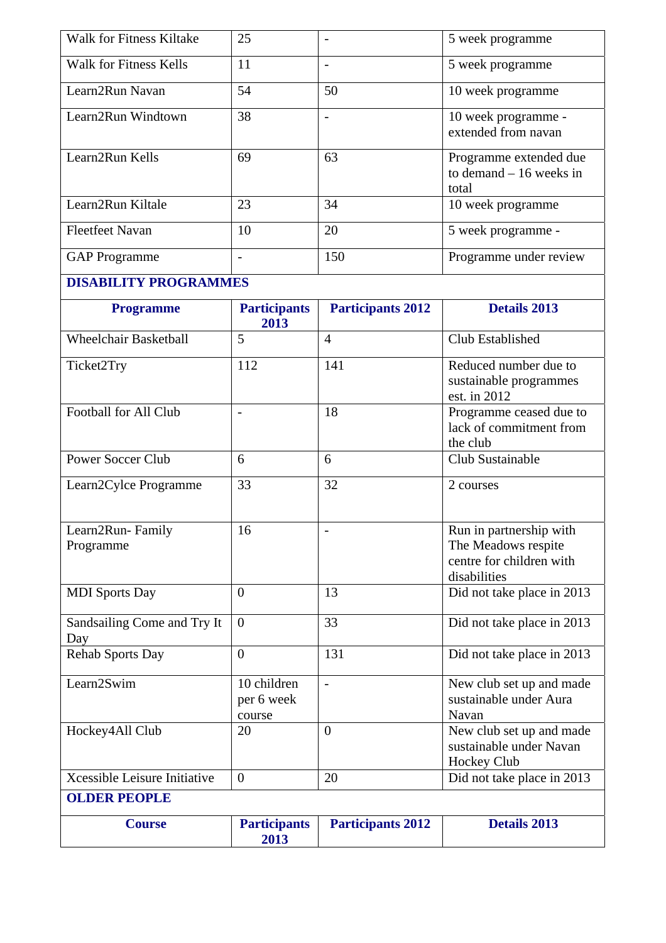| <b>Walk for Fitness Kiltake</b>     | 25                                  |                          | 5 week programme                                                                           |
|-------------------------------------|-------------------------------------|--------------------------|--------------------------------------------------------------------------------------------|
| <b>Walk for Fitness Kells</b>       | 11                                  | $\overline{\phantom{a}}$ | 5 week programme                                                                           |
| Learn2Run Navan                     | 54                                  | 50                       | 10 week programme                                                                          |
| Learn2Run Windtown                  | 38                                  | $\overline{a}$           | 10 week programme -<br>extended from navan                                                 |
| Learn2Run Kells                     | 69                                  | 63                       | Programme extended due<br>to demand $-16$ weeks in<br>total                                |
| Learn2Run Kiltale                   | 23                                  | 34                       | 10 week programme                                                                          |
| <b>Fleetfeet Navan</b>              | 10                                  | 20                       | 5 week programme -                                                                         |
| <b>GAP</b> Programme                | $\overline{\phantom{0}}$            | 150                      | Programme under review                                                                     |
| <b>DISABILITY PROGRAMMES</b>        |                                     |                          |                                                                                            |
| <b>Programme</b>                    | <b>Participants</b><br>2013         | <b>Participants 2012</b> | <b>Details 2013</b>                                                                        |
| <b>Wheelchair Basketball</b>        | 5                                   | $\overline{4}$           | Club Established                                                                           |
| Ticket2Try                          | 112                                 | 141                      | Reduced number due to<br>sustainable programmes<br>est. in 2012                            |
| Football for All Club               | $\overline{\phantom{a}}$            | 18                       | Programme ceased due to<br>lack of commitment from<br>the club                             |
| <b>Power Soccer Club</b>            | 6                                   | 6                        | Club Sustainable                                                                           |
| Learn2Cylce Programme               | 33                                  | 32                       | 2 courses                                                                                  |
| Learn2Run-Family<br>Programme       | 16                                  |                          | Run in partnership with<br>The Meadows respite<br>centre for children with<br>disabilities |
| <b>MDI</b> Sports Day               | $\overline{0}$                      | 13                       | Did not take place in 2013                                                                 |
| Sandsailing Come and Try It<br>Day  | $\overline{0}$                      | 33                       | Did not take place in 2013                                                                 |
| <b>Rehab Sports Day</b>             | $\overline{0}$                      | 131                      | Did not take place in 2013                                                                 |
| Learn2Swim                          | 10 children<br>per 6 week<br>course | $\overline{a}$           | New club set up and made<br>sustainable under Aura<br>Navan                                |
| Hockey4All Club                     | 20                                  | $\overline{0}$           | New club set up and made<br>sustainable under Navan<br>Hockey Club                         |
| <b>Xcessible Leisure Initiative</b> | $\overline{0}$                      | 20                       | Did not take place in 2013                                                                 |
| <b>OLDER PEOPLE</b>                 |                                     |                          |                                                                                            |
| <b>Course</b>                       | <b>Participants</b><br>2013         | <b>Participants 2012</b> | <b>Details 2013</b>                                                                        |